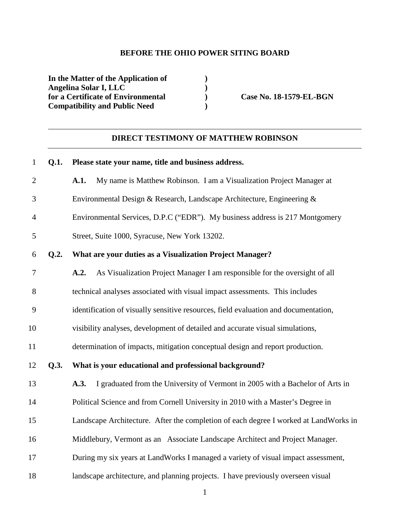### **BEFORE THE OHIO POWER SITING BOARD**

**In the Matter of the Application of ) Angelina Solar I, LLC** (**p** ) **for a Certificate of Environmental** for a Certificate of Environmental **Case No. 18-1579-EL-BGN Compatibility and Public Need )** 

## **DIRECT TESTIMONY OF MATTHEW ROBINSON**

| $\mathbf{1}$   | Q.1. | Please state your name, title and business address.                                   |
|----------------|------|---------------------------------------------------------------------------------------|
| $\overline{2}$ |      | A.1.<br>My name is Matthew Robinson. I am a Visualization Project Manager at          |
| 3              |      | Environmental Design & Research, Landscape Architecture, Engineering &                |
| $\overline{4}$ |      | Environmental Services, D.P.C ("EDR"). My business address is 217 Montgomery          |
| 5              |      | Street, Suite 1000, Syracuse, New York 13202.                                         |
| 6              | Q.2. | What are your duties as a Visualization Project Manager?                              |
| 7              |      | As Visualization Project Manager I am responsible for the oversight of all<br>A.2.    |
| 8              |      | technical analyses associated with visual impact assessments. This includes           |
| 9              |      | identification of visually sensitive resources, field evaluation and documentation,   |
| 10             |      | visibility analyses, development of detailed and accurate visual simulations,         |
| 11             |      | determination of impacts, mitigation conceptual design and report production.         |
| 12             | Q.3. | What is your educational and professional background?                                 |
| 13             |      | I graduated from the University of Vermont in 2005 with a Bachelor of Arts in<br>A.3. |
| 14             |      | Political Science and from Cornell University in 2010 with a Master's Degree in       |
| 15             |      | Landscape Architecture. After the completion of each degree I worked at LandWorks in  |
| 16             |      | Middlebury, Vermont as an Associate Landscape Architect and Project Manager.          |
| 17             |      | During my six years at LandWorks I managed a variety of visual impact assessment,     |
| 18             |      | landscape architecture, and planning projects. I have previously overseen visual      |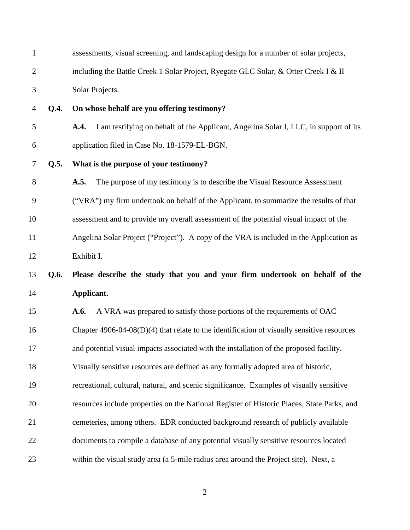| $\mathbf{1}$   |      | assessments, visual screening, and landscaping design for a number of solar projects,        |
|----------------|------|----------------------------------------------------------------------------------------------|
| $\overline{c}$ |      | including the Battle Creek 1 Solar Project, Ryegate GLC Solar, & Otter Creek I & II          |
| 3              |      | Solar Projects.                                                                              |
| 4              | Q.4. | On whose behalf are you offering testimony?                                                  |
| 5              |      | I am testifying on behalf of the Applicant, Angelina Solar I, LLC, in support of its<br>A.4. |
| 6              |      | application filed in Case No. 18-1579-EL-BGN.                                                |
| 7              | Q.5. | What is the purpose of your testimony?                                                       |
| 8              |      | The purpose of my testimony is to describe the Visual Resource Assessment<br>A.5.            |
| 9              |      | ("VRA") my firm undertook on behalf of the Applicant, to summarize the results of that       |
| 10             |      | assessment and to provide my overall assessment of the potential visual impact of the        |
| 11             |      | Angelina Solar Project ("Project"). A copy of the VRA is included in the Application as      |
| 12             |      | Exhibit I.                                                                                   |
|                |      |                                                                                              |
| 13             | Q.6. | Please describe the study that you and your firm undertook on behalf of the                  |
| 14             |      | Applicant.                                                                                   |
| 15             |      | A VRA was prepared to satisfy those portions of the requirements of OAC<br>A.6.              |
| 16             |      | Chapter $4906-04-08(D)(4)$ that relate to the identification of visually sensitive resources |
| 17             |      | and potential visual impacts associated with the installation of the proposed facility.      |
| 18             |      | Visually sensitive resources are defined as any formally adopted area of historic,           |
| 19             |      | recreational, cultural, natural, and scenic significance. Examples of visually sensitive     |
| 20             |      | resources include properties on the National Register of Historic Places, State Parks, and   |
| 21             |      | cemeteries, among others. EDR conducted background research of publicly available            |
| 22             |      | documents to compile a database of any potential visually sensitive resources located        |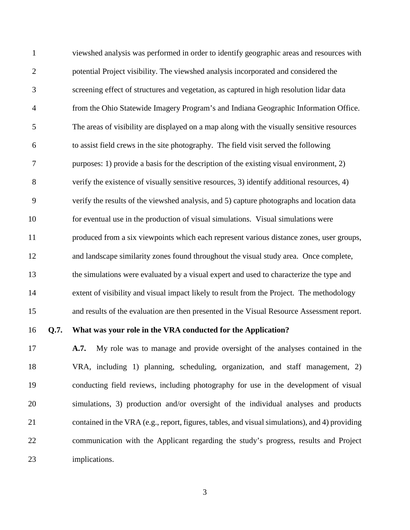1 viewshed analysis was performed in order to identify geographic areas and resources with 2 potential Project visibility. The viewshed analysis incorporated and considered the 3 screening effect of structures and vegetation, as captured in high resolution lidar data 4 from the Ohio Statewide Imagery Program's and Indiana Geographic Information Office. 5 The areas of visibility are displayed on a map along with the visually sensitive resources 6 to assist field crews in the site photography. The field visit served the following 7 purposes: 1) provide a basis for the description of the existing visual environment, 2) 8 verify the existence of visually sensitive resources, 3) identify additional resources, 4) 9 verify the results of the viewshed analysis, and 5) capture photographs and location data 10 for eventual use in the production of visual simulations. Visual simulations were 11 produced from a six viewpoints which each represent various distance zones, user groups, 12 and landscape similarity zones found throughout the visual study area. Once complete, 13 the simulations were evaluated by a visual expert and used to characterize the type and 14 extent of visibility and visual impact likely to result from the Project. The methodology 15 and results of the evaluation are then presented in the Visual Resource Assessment report.

#### 16 **Q.7. What was your role in the VRA conducted for the Application?**

17 **A.7.** My role was to manage and provide oversight of the analyses contained in the 18 VRA, including 1) planning, scheduling, organization, and staff management, 2) 19 conducting field reviews, including photography for use in the development of visual 20 simulations, 3) production and/or oversight of the individual analyses and products 21 contained in the VRA (e.g., report, figures, tables, and visual simulations), and 4) providing 22 communication with the Applicant regarding the study's progress, results and Project 23 implications.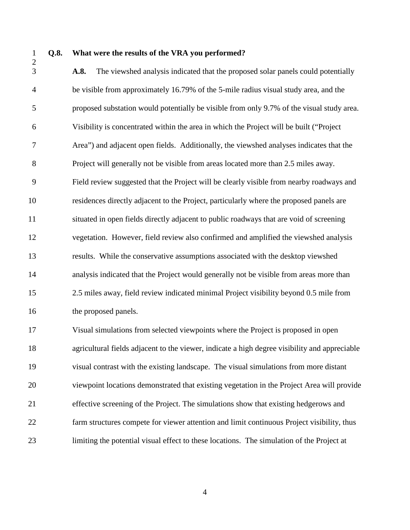#### 1 **Q.8. What were the results of the VRA you performed?**

3 **A.8.** The viewshed analysis indicated that the proposed solar panels could potentially 4 be visible from approximately 16.79% of the 5-mile radius visual study area, and the 5 proposed substation would potentially be visible from only 9.7% of the visual study area. 6 Visibility is concentrated within the area in which the Project will be built ("Project 7 Area") and adjacent open fields. Additionally, the viewshed analyses indicates that the 8 Project will generally not be visible from areas located more than 2.5 miles away. 9 Field review suggested that the Project will be clearly visible from nearby roadways and 10 residences directly adjacent to the Project, particularly where the proposed panels are 11 situated in open fields directly adjacent to public roadways that are void of screening 12 vegetation. However, field review also confirmed and amplified the viewshed analysis 13 results. While the conservative assumptions associated with the desktop viewshed 14 analysis indicated that the Project would generally not be visible from areas more than 15 2.5 miles away, field review indicated minimal Project visibility beyond 0.5 mile from 16 the proposed panels.

17 Visual simulations from selected viewpoints where the Project is proposed in open 18 agricultural fields adjacent to the viewer, indicate a high degree visibility and appreciable 19 visual contrast with the existing landscape. The visual simulations from more distant 20 viewpoint locations demonstrated that existing vegetation in the Project Area will provide 21 effective screening of the Project. The simulations show that existing hedgerows and 22 farm structures compete for viewer attention and limit continuous Project visibility, thus 23 limiting the potential visual effect to these locations. The simulation of the Project at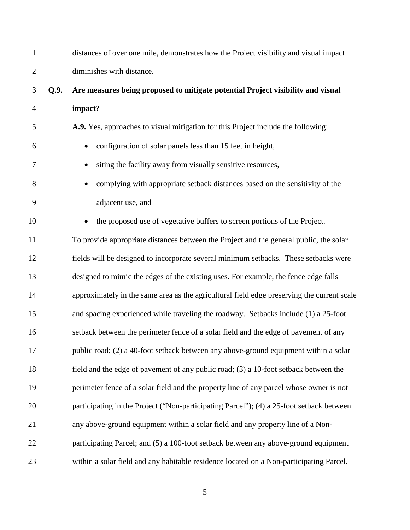| $\mathbf{1}$   |      | distances of over one mile, demonstrates how the Project visibility and visual impact      |
|----------------|------|--------------------------------------------------------------------------------------------|
| $\overline{2}$ |      | diminishes with distance.                                                                  |
| 3              | Q.9. | Are measures being proposed to mitigate potential Project visibility and visual            |
| $\overline{4}$ |      | impact?                                                                                    |
| 5              |      | A.9. Yes, approaches to visual mitigation for this Project include the following:          |
| 6              |      | configuration of solar panels less than 15 feet in height,                                 |
| 7              |      | siting the facility away from visually sensitive resources,                                |
| 8              |      | complying with appropriate setback distances based on the sensitivity of the               |
| 9              |      | adjacent use, and                                                                          |
| 10             |      | the proposed use of vegetative buffers to screen portions of the Project.                  |
| 11             |      | To provide appropriate distances between the Project and the general public, the solar     |
| 12             |      | fields will be designed to incorporate several minimum setbacks. These setbacks were       |
| 13             |      | designed to mimic the edges of the existing uses. For example, the fence edge falls        |
| 14             |      | approximately in the same area as the agricultural field edge preserving the current scale |
| 15             |      | and spacing experienced while traveling the roadway. Setbacks include (1) a 25-foot        |
| 16             |      | setback between the perimeter fence of a solar field and the edge of pavement of any       |
| 17             |      | public road; (2) a 40-foot setback between any above-ground equipment within a solar       |
| 18             |      | field and the edge of pavement of any public road; (3) a 10-foot setback between the       |
| 19             |      | perimeter fence of a solar field and the property line of any parcel whose owner is not    |
| 20             |      | participating in the Project ("Non-participating Parcel"); (4) a 25-foot setback between   |
| 21             |      | any above-ground equipment within a solar field and any property line of a Non-            |
| 22             |      | participating Parcel; and (5) a 100-foot setback between any above-ground equipment        |
| 23             |      | within a solar field and any habitable residence located on a Non-participating Parcel.    |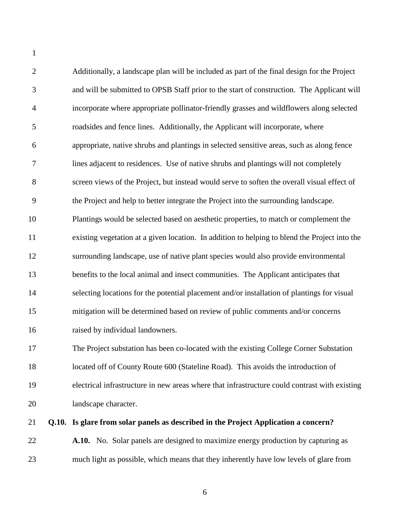2 Additionally, a landscape plan will be included as part of the final design for the Project 3 and will be submitted to OPSB Staff prior to the start of construction. The Applicant will 4 incorporate where appropriate pollinator-friendly grasses and wildflowers along selected 5 roadsides and fence lines. Additionally, the Applicant will incorporate, where 6 appropriate, native shrubs and plantings in selected sensitive areas, such as along fence 7 lines adjacent to residences. Use of native shrubs and plantings will not completely 8 screen views of the Project, but instead would serve to soften the overall visual effect of 9 the Project and help to better integrate the Project into the surrounding landscape. 10 Plantings would be selected based on aesthetic properties, to match or complement the 11 existing vegetation at a given location. In addition to helping to blend the Project into the 12 surrounding landscape, use of native plant species would also provide environmental 13 benefits to the local animal and insect communities. The Applicant anticipates that 14 selecting locations for the potential placement and/or installation of plantings for visual 15 mitigation will be determined based on review of public comments and/or concerns 16 raised by individual landowners. 17 The Project substation has been co-located with the existing College Corner Substation 18 located off of County Route 600 (Stateline Road). This avoids the introduction of 19 electrical infrastructure in new areas where that infrastructure could contrast with existing 20 landscape character.

1

#### 21 **Q.10. Is glare from solar panels as described in the Project Application a concern?**

22 **A.10.** No. Solar panels are designed to maximize energy production by capturing as 23 much light as possible, which means that they inherently have low levels of glare from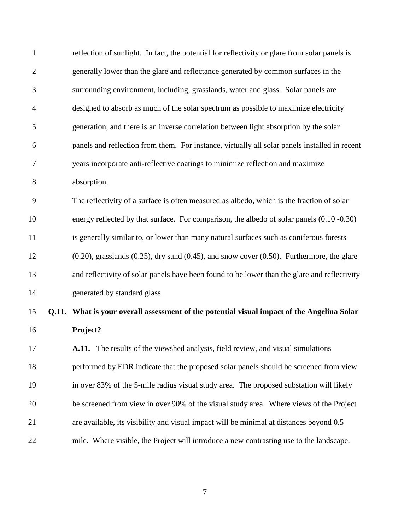| $\mathbf{1}$   | reflection of sunlight. In fact, the potential for reflectivity or glare from solar panels is         |
|----------------|-------------------------------------------------------------------------------------------------------|
| $\overline{2}$ | generally lower than the glare and reflectance generated by common surfaces in the                    |
| 3              | surrounding environment, including, grasslands, water and glass. Solar panels are                     |
| $\overline{4}$ | designed to absorb as much of the solar spectrum as possible to maximize electricity                  |
| 5              | generation, and there is an inverse correlation between light absorption by the solar                 |
| 6              | panels and reflection from them. For instance, virtually all solar panels installed in recent         |
| 7              | years incorporate anti-reflective coatings to minimize reflection and maximize                        |
| 8              | absorption.                                                                                           |
| 9              | The reflectivity of a surface is often measured as albedo, which is the fraction of solar             |
| 10             | energy reflected by that surface. For comparison, the albedo of solar panels (0.10 -0.30)             |
| 11             | is generally similar to, or lower than many natural surfaces such as coniferous forests               |
| 12             | $(0.20)$ , grasslands $(0.25)$ , dry sand $(0.45)$ , and snow cover $(0.50)$ . Furthermore, the glare |
| 13             | and reflectivity of solar panels have been found to be lower than the glare and reflectivity          |
| 14             | generated by standard glass.                                                                          |
| 15             | Q.11. What is your overall assessment of the potential visual impact of the Angelina Solar            |
| 16             | Project?                                                                                              |
| 17             | A.11. The results of the viewshed analysis, field review, and visual simulations                      |
| 18             | performed by EDR indicate that the proposed solar panels should be screened from view                 |
| 19             | in over 83% of the 5-mile radius visual study area. The proposed substation will likely               |
| 20             | be screened from view in over 90% of the visual study area. Where views of the Project                |
| 21             | are available, its visibility and visual impact will be minimal at distances beyond 0.5               |
| 22             | mile. Where visible, the Project will introduce a new contrasting use to the landscape.               |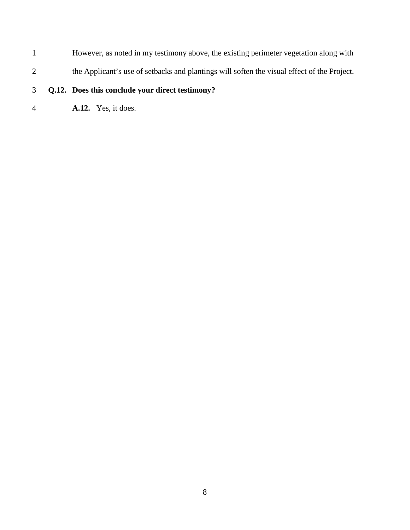- 1 However, as noted in my testimony above, the existing perimeter vegetation along with
- 2 the Applicant's use of setbacks and plantings will soften the visual effect of the Project.

# 3 **Q.12. Does this conclude your direct testimony?**

4 **A.12.** Yes, it does.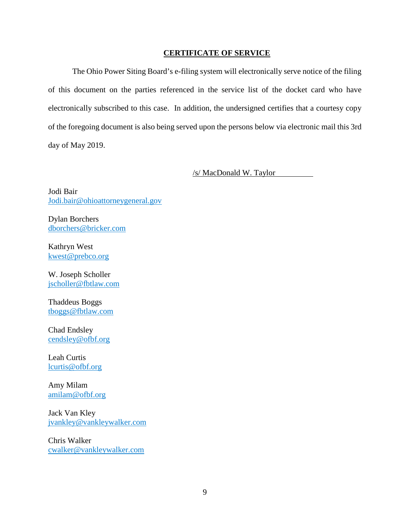#### **CERTIFICATE OF SERVICE**

The Ohio Power Siting Board's e-filing system will electronically serve notice of the filing of this document on the parties referenced in the service list of the docket card who have electronically subscribed to this case. In addition, the undersigned certifies that a courtesy copy of the foregoing document is also being served upon the persons below via electronic mail this 3rd day of May 2019.

/s/ MacDonald W. Taylor

Jodi Bair Jodi.bair@ohioattorneygeneral.gov

Dylan Borchers dborchers@bricker.com

Kathryn West kwest@prebco.org

W. Joseph Scholler jscholler@fbtlaw.com

Thaddeus Boggs tboggs@fbtlaw.com

Chad Endsley cendsley@ofbf.org

Leah Curtis lcurtis@ofbf.org

Amy Milam amilam@ofbf.org

Jack Van Kley jvankley@vankleywalker.com

Chris Walker cwalker@vankleywalker.com